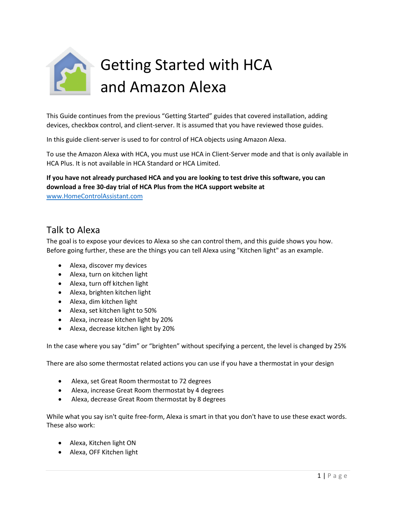

This Guide continues from the previous "Getting Started" guides that covered installation, adding devices, checkbox control, and client-server. It is assumed that you have reviewed those guides.

In this guide client-server is used to for control of HCA objects using Amazon Alexa.

To use the Amazon Alexa with HCA, you must use HCA in Client-Server mode and that is only available in HCA Plus. It is not available in HCA Standard or HCA Limited.

### **If you have not already purchased HCA and you are looking to test drive this software, you can download a free 30-day trial of HCA Plus from the HCA support website at**

[www.HomeControlAssistant.com](https://www.homecontrolassistant.com/)

### Talk to Alexa

The goal is to expose your devices to Alexa so she can control them, and this guide shows you how. Before going further, these are the things you can tell Alexa using "Kitchen light" as an example.

- Alexa, discover my devices
- Alexa, turn on kitchen light
- Alexa, turn off kitchen light
- Alexa, brighten kitchen light
- Alexa, dim kitchen light
- Alexa, set kitchen light to 50%
- Alexa, increase kitchen light by 20%
- Alexa, decrease kitchen light by 20%

In the case where you say "dim" or "brighten" without specifying a percent, the level is changed by 25%

There are also some thermostat related actions you can use if you have a thermostat in your design

- Alexa, set Great Room thermostat to 72 degrees
- Alexa, increase Great Room thermostat by 4 degrees
- Alexa, decrease Great Room thermostat by 8 degrees

While what you say isn't quite free-form, Alexa is smart in that you don't have to use these exact words. These also work:

- Alexa, Kitchen light ON
- Alexa, OFF Kitchen light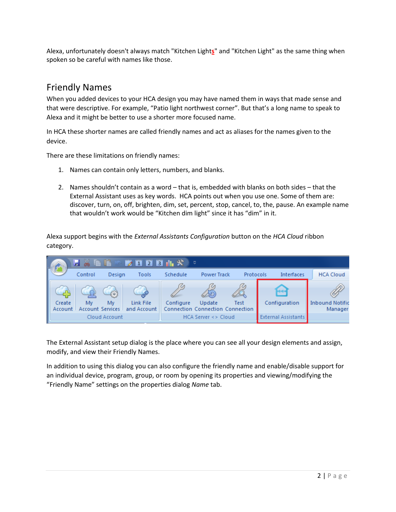Alexa, unfortunately doesn't always match "Kitchen Light**s**" and "Kitchen Light" as the same thing when spoken so be careful with names like those.

## Friendly Names

When you added devices to your HCA design you may have named them in ways that made sense and that were descriptive. For example, "Patio light northwest corner". But that's a long name to speak to Alexa and it might be better to use a shorter more focused name.

In HCA these shorter names are called friendly names and act as aliases for the names given to the device.

There are these limitations on friendly names:

- 1. Names can contain only letters, numbers, and blanks.
- 2. Names shouldn't contain as a word that is, embedded with blanks on both sides that the External Assistant uses as key words. HCA points out when you use one. Some of them are: discover, turn, on, off, brighten, dim, set, percent, stop, cancel, to, the, pause. An example name that wouldn't work would be "Kitchen dim light" since it has "dim" in it.

Alexa support begins with the *External Assistants Configuration* button on the *HCA Cloud* ribbon category.



The External Assistant setup dialog is the place where you can see all your design elements and assign, modify, and view their Friendly Names.

In addition to using this dialog you can also configure the friendly name and enable/disable support for an individual device, program, group, or room by opening its properties and viewing/modifying the "Friendly Name" settings on the properties dialog *Name* tab.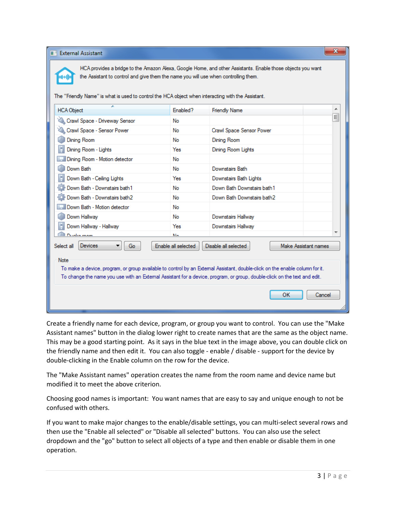| <b>External Assistant</b>                                                                                                                                                                                                                                                                                |          |                            | x |  |  |  |  |
|----------------------------------------------------------------------------------------------------------------------------------------------------------------------------------------------------------------------------------------------------------------------------------------------------------|----------|----------------------------|---|--|--|--|--|
| HCA provides a bridge to the Amazon Alexa, Google Home, and other Assistants. Enable those objects you want<br>the Assistant to control and give them the name you will use when controlling them.<br>The "Friendly Name" is what is used to control the HCA object when interacting with the Assistant. |          |                            |   |  |  |  |  |
| <b>HCA Object</b>                                                                                                                                                                                                                                                                                        | Fnabled? | <b>Friendly Name</b>       | ┻ |  |  |  |  |
| Crawl Space - Driveway Sensor                                                                                                                                                                                                                                                                            | No       |                            | ≣ |  |  |  |  |
| Crawl Space - Sensor Power                                                                                                                                                                                                                                                                               | No       | Crawl Space Sensor Power   |   |  |  |  |  |
| Dining Room                                                                                                                                                                                                                                                                                              | No       | Dining Room                |   |  |  |  |  |
| Dining Room - Lights                                                                                                                                                                                                                                                                                     | Yes      | Dining Room Lights         |   |  |  |  |  |
| Dining Room - Motion detector                                                                                                                                                                                                                                                                            | No       |                            |   |  |  |  |  |
| Down Bath                                                                                                                                                                                                                                                                                                | No       | Downstairs Bath            |   |  |  |  |  |
| Down Bath - Ceiling Lights                                                                                                                                                                                                                                                                               | Yes      | Downstairs Bath Lights     |   |  |  |  |  |
| Down Bath - Downstairs bath1                                                                                                                                                                                                                                                                             | No       | Down Bath Downstairs bath1 |   |  |  |  |  |
| Down Bath - Downstairs bath2                                                                                                                                                                                                                                                                             | No       | Down Bath Downstairs bath2 |   |  |  |  |  |
| Down Bath - Motion detector                                                                                                                                                                                                                                                                              | No       |                            |   |  |  |  |  |
| Down Hallway                                                                                                                                                                                                                                                                                             | No       | Downstairs Hallway         |   |  |  |  |  |
| Down Hallway - Hallway                                                                                                                                                                                                                                                                                   | Yes      | Downstairs Hallway         |   |  |  |  |  |
| Duales mans                                                                                                                                                                                                                                                                                              | Max      |                            |   |  |  |  |  |
| Devices<br>Enable all selected<br>Disable all selected<br>Make Assistant names<br>Select all<br>Go                                                                                                                                                                                                       |          |                            |   |  |  |  |  |
| Note<br>To make a device, program, or group available to control by an External Assistant, double-click on the enable column for it.<br>To change the name you use with an External Assistant for a device, program, or group, double-click on the text and edit.<br>ОК<br>Cancel                        |          |                            |   |  |  |  |  |
|                                                                                                                                                                                                                                                                                                          |          |                            |   |  |  |  |  |

Create a friendly name for each device, program, or group you want to control. You can use the "Make Assistant names" button in the dialog lower right to create names that are the same as the object name. This may be a good starting point. As it says in the blue text in the image above, you can double click on the friendly name and then edit it. You can also toggle - enable / disable - support for the device by double-clicking in the Enable column on the row for the device.

The "Make Assistant names" operation creates the name from the room name and device name but modified it to meet the above criterion.

Choosing good names is important: You want names that are easy to say and unique enough to not be confused with others.

If you want to make major changes to the enable/disable settings, you can multi-select several rows and then use the "Enable all selected" or "Disable all selected" buttons. You can also use the select dropdown and the "go" button to select all objects of a type and then enable or disable them in one operation.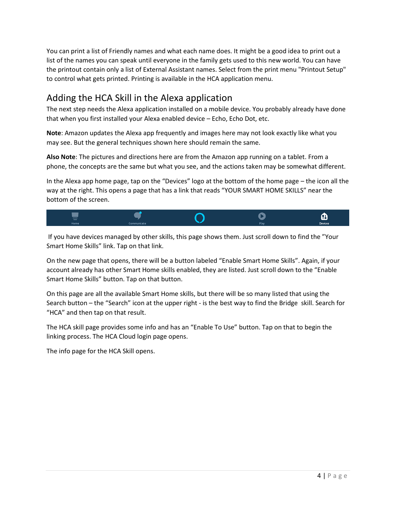You can print a list of Friendly names and what each name does. It might be a good idea to print out a list of the names you can speak until everyone in the family gets used to this new world. You can have the printout contain only a list of External Assistant names. Select from the print menu "Printout Setup" to control what gets printed. Printing is available in the HCA application menu.

# Adding the HCA Skill in the Alexa application

The next step needs the Alexa application installed on a mobile device. You probably already have done that when you first installed your Alexa enabled device – Echo, Echo Dot, etc.

**Note**: Amazon updates the Alexa app frequently and images here may not look exactly like what you may see. But the general techniques shown here should remain the same.

**Also Note**: The pictures and directions here are from the Amazon app running on a tablet. From a phone, the concepts are the same but what you see, and the actions taken may be somewhat different.

In the Alexa app home page, tap on the "Devices" logo at the bottom of the home page – the icon all the way at the right. This opens a page that has a link that reads "YOUR SMART HOME SKILLS" near the bottom of the screen.



If you have devices managed by other skills, this page shows them. Just scroll down to find the "Your Smart Home Skills" link. Tap on that link.

On the new page that opens, there will be a button labeled "Enable Smart Home Skills". Again, if your account already has other Smart Home skills enabled, they are listed. Just scroll down to the "Enable Smart Home Skills" button. Tap on that button.

On this page are all the available Smart Home skills, but there will be so many listed that using the Search button – the "Search" icon at the upper right - is the best way to find the Bridge skill. Search for "HCA" and then tap on that result.

The HCA skill page provides some info and has an "Enable To Use" button. Tap on that to begin the linking process. The HCA Cloud login page opens.

The info page for the HCA Skill opens.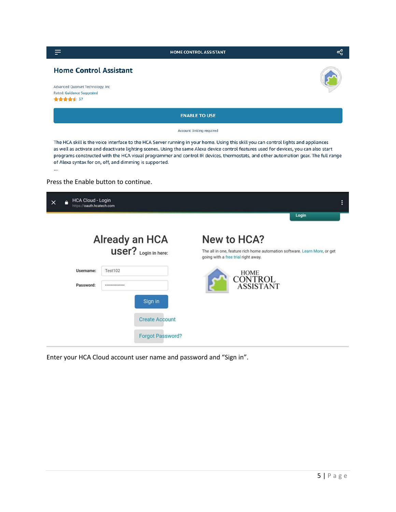

Enter your HCA Cloud account user name and password and "Sign in".

**Create Account** 

Forgot Password?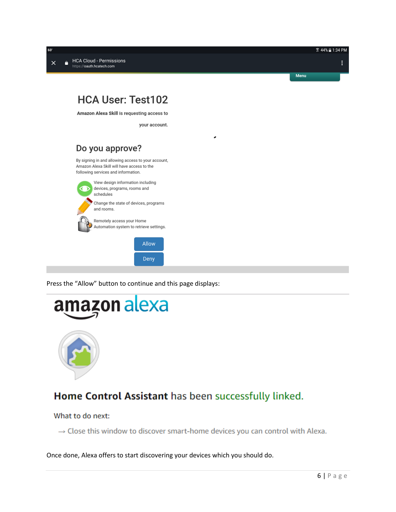

Press the "Allow" button to continue and this page displays:





# Home Control Assistant has been successfully linked.

### What to do next:

 $\rightarrow$  Close this window to discover smart-home devices you can control with Alexa.

Once done, Alexa offers to start discovering your devices which you should do.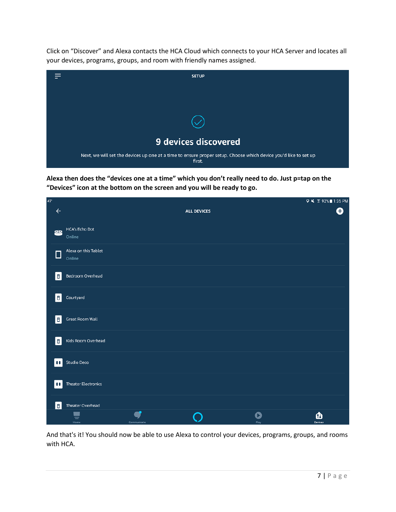Click on "Discover" and Alexa contacts the HCA Cloud which connects to your HCA Server and locates all your devices, programs, groups, and room with friendly names assigned.



**Alexa then does the "devices one at a time" which you don't really need to do. Just p=tap on the "Devices" icon at the bottom on the screen and you will be ready to go.**

| $42^\circ$   |                                 |             |                    |           | Q X 7 92% 1:35 PM |
|--------------|---------------------------------|-------------|--------------------|-----------|-------------------|
| $\leftarrow$ |                                 |             | <b>ALL DEVICES</b> |           | θ                 |
| ജ            | <b>HCA's Echo Dot</b><br>Online |             |                    |           |                   |
| □            | Alexa on this Tablet<br>Online  |             |                    |           |                   |
| B            | Bedroom Overhead                |             |                    |           |                   |
| B.           | Courtyard                       |             |                    |           |                   |
| E            | Great Room Wall                 |             |                    |           |                   |
| E            | Kids Room Overhead              |             |                    |           |                   |
| 00           | <b>Studio Deco</b>              |             |                    |           |                   |
| 00           | <b>Theater Electronics</b>      |             |                    |           |                   |
| B            | Theater Overhead                |             |                    |           |                   |
|              | ≡<br>Home                       | Communicate |                    | Q<br>Play | മ<br>Devices      |

And that's it! You should now be able to use Alexa to control your devices, programs, groups, and rooms with HCA.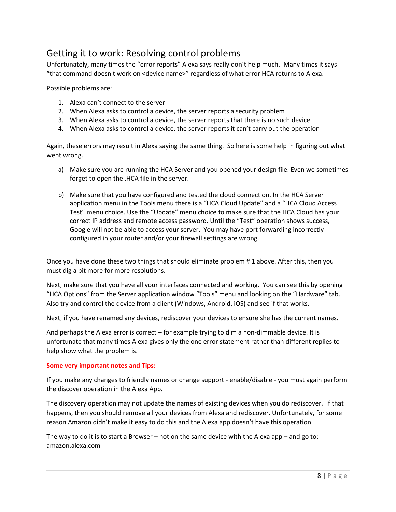# Getting it to work: Resolving control problems

Unfortunately, many times the "error reports" Alexa says really don't help much. Many times it says "that command doesn't work on <device name>" regardless of what error HCA returns to Alexa.

Possible problems are:

- 1. Alexa can't connect to the server
- 2. When Alexa asks to control a device, the server reports a security problem
- 3. When Alexa asks to control a device, the server reports that there is no such device
- 4. When Alexa asks to control a device, the server reports it can't carry out the operation

Again, these errors may result in Alexa saying the same thing. So here is some help in figuring out what went wrong.

- a) Make sure you are running the HCA Server and you opened your design file. Even we sometimes forget to open the .HCA file in the server.
- b) Make sure that you have configured and tested the cloud connection. In the HCA Server application menu in the Tools menu there is a "HCA Cloud Update" and a "HCA Cloud Access Test" menu choice. Use the "Update" menu choice to make sure that the HCA Cloud has your correct IP address and remote access password. Until the "Test" operation shows success, Google will not be able to access your server. You may have port forwarding incorrectly configured in your router and/or your firewall settings are wrong.

Once you have done these two things that should eliminate problem # 1 above. After this, then you must dig a bit more for more resolutions.

Next, make sure that you have all your interfaces connected and working. You can see this by opening "HCA Options" from the Server application window "Tools" menu and looking on the "Hardware" tab. Also try and control the device from a client (Windows, Android, iOS) and see if that works.

Next, if you have renamed any devices, rediscover your devices to ensure she has the current names.

And perhaps the Alexa error is correct – for example trying to dim a non-dimmable device. It is unfortunate that many times Alexa gives only the one error statement rather than different replies to help show what the problem is.

#### **Some very important notes and Tips:**

If you make any changes to friendly names or change support - enable/disable - you must again perform the discover operation in the Alexa App.

The discovery operation may not update the names of existing devices when you do rediscover. If that happens, then you should remove all your devices from Alexa and rediscover. Unfortunately, for some reason Amazon didn't make it easy to do this and the Alexa app doesn't have this operation.

The way to do it is to start a Browser – not on the same device with the Alexa app – and go to: amazon.alexa.com